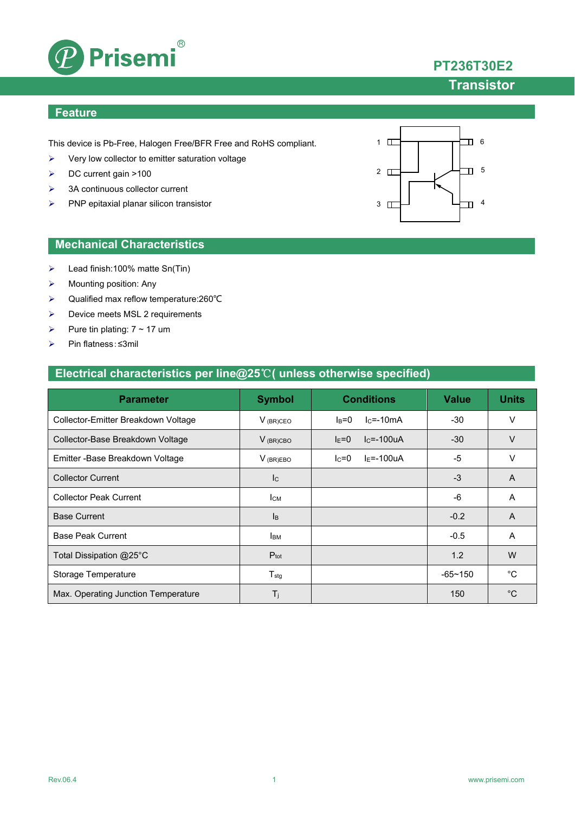

# **PT236T30E2**

## **Transistor**

### **Feature**

This device is Pb-Free, Halogen Free/BFR Free and RoHS compliant.

- $\triangleright$  Very low collector to emitter saturation voltage
- DC current gain >100
- $\geq$  3A continuous collector current
- $\triangleright$  PNP epitaxial planar silicon transistor



### **Mechanical Characteristics**

- Lead finish:100% matte Sn(Tin)
- $\triangleright$  Mounting position: Any
- Qualified max reflow temperature:260℃
- ▶ Device meets MSL 2 requirements
- Pure tin plating:  $7 \sim 17$  um
- Pin flatness:≤3mil

### **Electrical characteristics per line@25**℃**( unless otherwise specified)**

| <b>Parameter</b>                    | <b>Symbol</b>    | <b>Conditions</b>          | <b>Value</b> | <b>Units</b> |
|-------------------------------------|------------------|----------------------------|--------------|--------------|
| Collector-Emitter Breakdown Voltage | $V_{(BR)CEO}$    | $lc = -10mA$<br>$I_B=0$    | $-30$        | v            |
| Collector-Base Breakdown Voltage    | $V_{(BR)CBO}$    | $IC=-100uA$<br>$I_{E} = 0$ | $-30$        | $\vee$       |
| Emitter - Base Breakdown Voltage    | $V_{(BR)EBO}$    | $I_F = -100uA$<br>$lc = 0$ | -5           | V            |
| <b>Collector Current</b>            | c                |                            | $-3$         | A            |
| <b>Collector Peak Current</b>       | $I_{CM}$         |                            | $-6$         | A            |
| <b>Base Current</b>                 | B                |                            | $-0.2$       | A            |
| <b>Base Peak Current</b>            | <b>I</b> BM      |                            | $-0.5$       | A            |
| Total Dissipation @25°C             | $P_{\text{tot}}$ |                            | 1.2          | W            |
| Storage Temperature                 | $T_{\text{stg}}$ |                            | $-65 - 150$  | °C           |
| Max. Operating Junction Temperature | $T_i$            |                            | 150          | $^{\circ}C$  |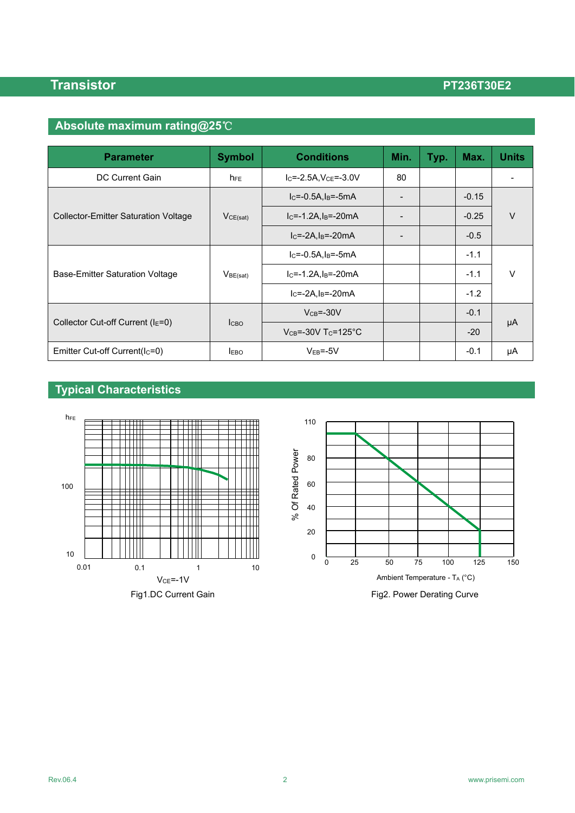# **Absolute maximum rating@25**℃

| <b>Parameter</b>                            | <b>Symbol</b>        | <b>Conditions</b>                     | Min.            | Typ. | Max.    | <b>Units</b> |  |
|---------------------------------------------|----------------------|---------------------------------------|-----------------|------|---------|--------------|--|
| DC Current Gain                             | h <sub>FE</sub>      | $I_C = -2.5A$ , $V_{CE} = -3.0V$      | 80              |      |         |              |  |
| <b>Collector-Emitter Saturation Voltage</b> | VCE(sat)             | $IC=-0.5A, IB=-5mA$                   |                 |      | $-0.15$ |              |  |
|                                             |                      | $IC=-1.2A, IB=-20mA$                  | $\qquad \qquad$ |      | $-0.25$ | $\vee$       |  |
|                                             |                      | $IC=-2A,IB=-20mA$                     |                 |      | $-0.5$  |              |  |
| Base-Emitter Saturation Voltage             | V <sub>BE(sat)</sub> | $IC=-0.5A, IB=-5mA$                   |                 |      | $-1.1$  |              |  |
|                                             |                      | $IC=-1.2A, IB=-20mA$                  |                 |      | $-1.1$  | $\vee$       |  |
|                                             |                      | $IC=-2A,IB=-20mA$                     |                 |      | $-1.2$  |              |  |
|                                             | <b>I</b> сво         | $VCB=-30V$                            |                 |      | $-0.1$  |              |  |
| Collector Cut-off Current ( $IE=0$ )        |                      | $V_{CB} = -30V$ T <sub>C</sub> =125°C |                 |      | $-20$   | μA           |  |
| Emitter Cut-off Current(Ic=0)               | <b>LEBO</b>          | $VEB=-5V$                             |                 |      | $-0.1$  | μA           |  |

# **Typical Characteristics**

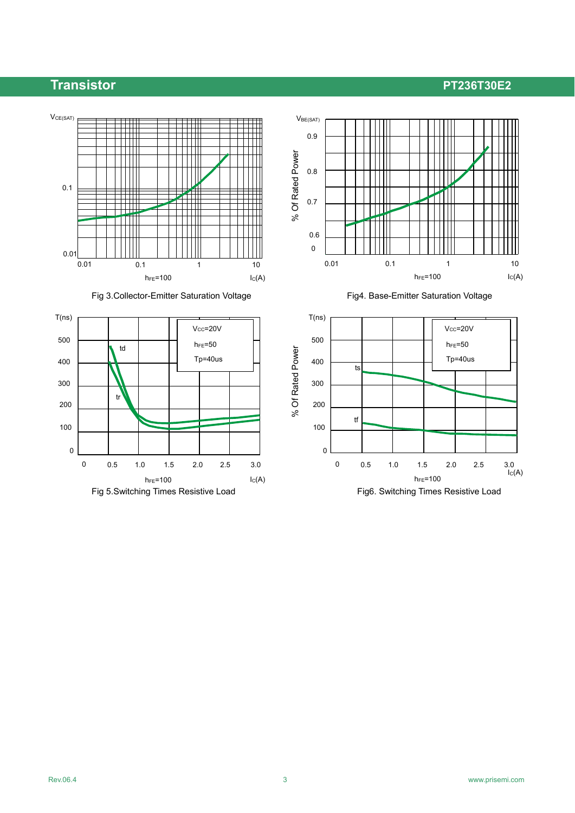





Fig 3. Collector-Emitter Saturation Voltage Fig4. Base-Emitter Saturation Voltage

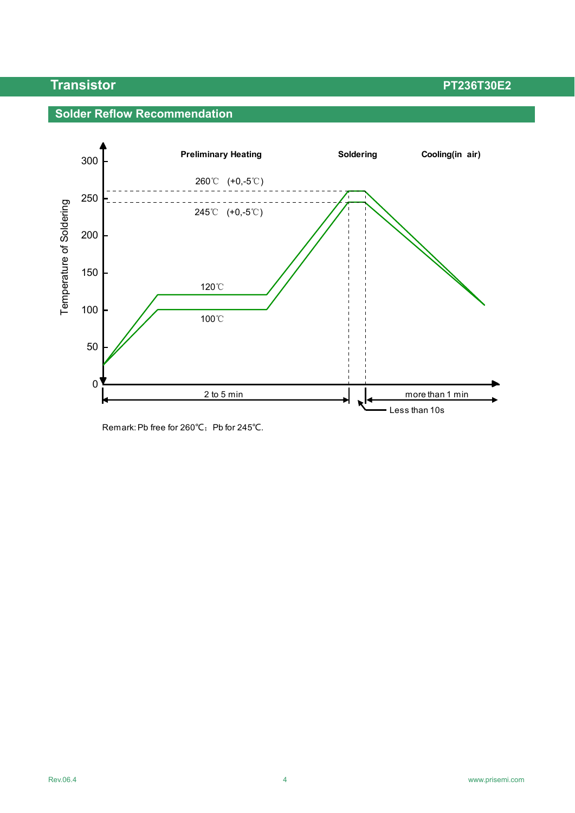### **Solder Reflow Recommendation**



Remark: Pb free for 260℃; Pb for 245℃.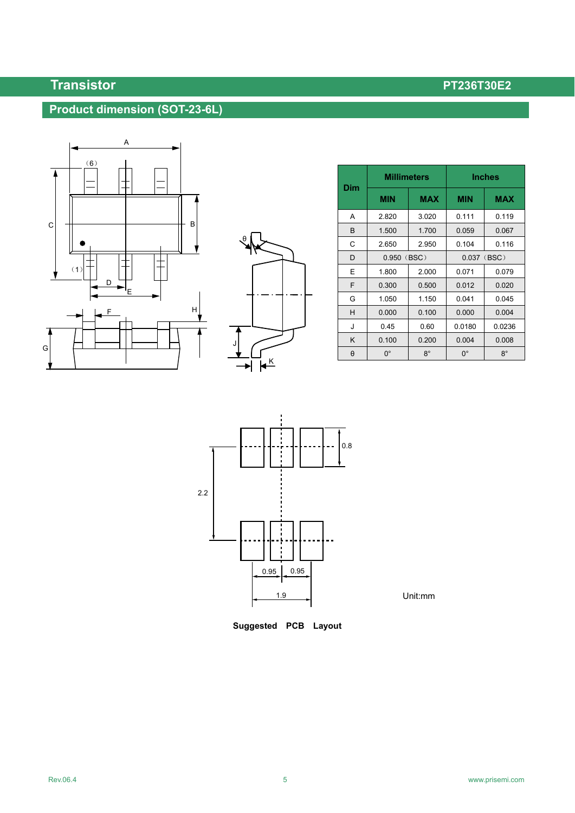## **Product dimension (SOT-23-6L)**





| Dim | <b>Millimeters</b> |            | <b>Inches</b>  |            |  |
|-----|--------------------|------------|----------------|------------|--|
|     | <b>MIN</b>         | <b>MAX</b> | <b>MIN</b>     | <b>MAX</b> |  |
| A   | 2.820              | 3.020      | 0.111          | 0.119      |  |
| B   | 1.500              | 1.700      | 0.059          | 0.067      |  |
| С   | 2.650              | 2.950      | 0.104          | 0.116      |  |
| D   | 0.950<br>(BSC)     |            | (BSC)<br>0.037 |            |  |
| E   | 1.800              | 2.000      | 0.071          | 0.079      |  |
| F   | 0.300              | 0.500      | 0.012          | 0.020      |  |
| G   | 1.050              | 1.150      | 0.041          | 0.045      |  |
| H   | 0.000              | 0.100      | 0.000          | 0.004      |  |
| J   | 0.45               | 0.60       | 0.0180         | 0.0236     |  |
| K   | 0.100              | 0.200      | 0.004          | 0.008      |  |
| θ   | $0^{\circ}$        | $8^\circ$  | $0^{\circ}$    | $8^\circ$  |  |



Unit:mm

**Suggested PCB Layout**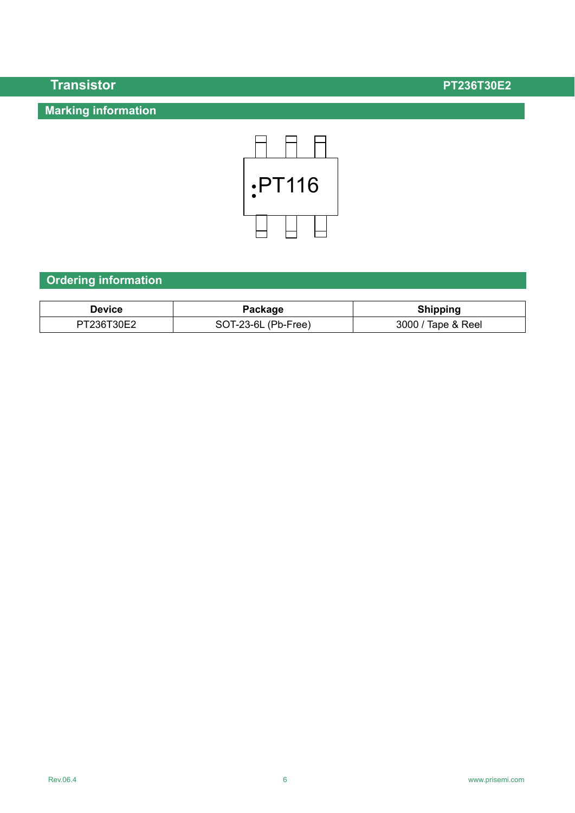## **Marking information**

**Transistor PT236T30E2** 



## **Ordering information**

| Device     | Package             | <b>Shipping</b>    |
|------------|---------------------|--------------------|
| PT236T30E2 | SOT-23-6L (Pb-Free) | 3000 / Tape & Reel |